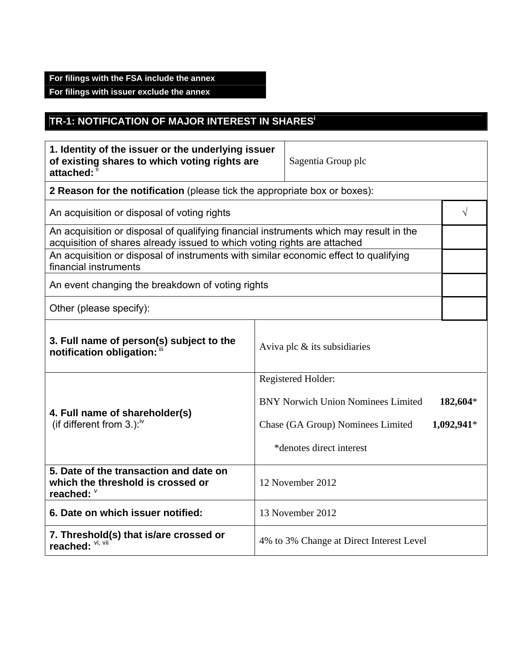## **For filings with the FSA include the annex**

**For filings with issuer exclude the annex** 

# **TR-1: NOTIFICATION OF MAJOR INTEREST IN SHARESi**

| 1. Identity of the issuer or the underlying issuer<br>of existing shares to which voting rights are<br>attached: 1                                                 |                                                                           | Sagentia Group plc                        |              |  |  |
|--------------------------------------------------------------------------------------------------------------------------------------------------------------------|---------------------------------------------------------------------------|-------------------------------------------|--------------|--|--|
|                                                                                                                                                                    | 2 Reason for the notification (please tick the appropriate box or boxes): |                                           |              |  |  |
| An acquisition or disposal of voting rights                                                                                                                        |                                                                           |                                           | $\sqrt{}$    |  |  |
| An acquisition or disposal of qualifying financial instruments which may result in the<br>acquisition of shares already issued to which voting rights are attached |                                                                           |                                           |              |  |  |
| An acquisition or disposal of instruments with similar economic effect to qualifying<br>financial instruments                                                      |                                                                           |                                           |              |  |  |
| An event changing the breakdown of voting rights                                                                                                                   |                                                                           |                                           |              |  |  |
| Other (please specify):                                                                                                                                            |                                                                           |                                           |              |  |  |
| 3. Full name of person(s) subject to the<br>notification obligation:                                                                                               |                                                                           | Aviva plc $\&$ its subsidiaries           |              |  |  |
|                                                                                                                                                                    |                                                                           | Registered Holder:                        |              |  |  |
|                                                                                                                                                                    |                                                                           | <b>BNY Norwich Union Nominees Limited</b> | 182,604*     |  |  |
| 4. Full name of shareholder(s)<br>(if different from 3.): <sup>iv</sup>                                                                                            |                                                                           | Chase (GA Group) Nominees Limited         | $1,092,941*$ |  |  |
|                                                                                                                                                                    |                                                                           | *denotes direct interest                  |              |  |  |
| 5. Date of the transaction and date on<br>which the threshold is crossed or<br>reached: $\frac{1}{2}$                                                              | 12 November 2012                                                          |                                           |              |  |  |
| 6. Date on which issuer notified:                                                                                                                                  |                                                                           | 13 November 2012                          |              |  |  |
| 7. Threshold(s) that is/are crossed or<br>reached: VI, VII                                                                                                         |                                                                           | 4% to 3% Change at Direct Interest Level  |              |  |  |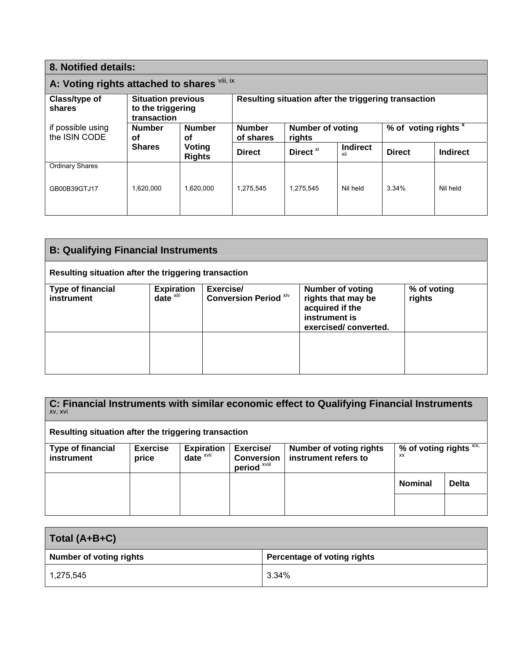| 8. Notified details:                                                                     |                                                   |                                                      |                            |                                                                      |                        |               |                 |
|------------------------------------------------------------------------------------------|---------------------------------------------------|------------------------------------------------------|----------------------------|----------------------------------------------------------------------|------------------------|---------------|-----------------|
| A: Voting rights attached to shares Vili, ix                                             |                                                   |                                                      |                            |                                                                      |                        |               |                 |
| Class/type of<br><b>Situation previous</b><br>to the triggering<br>shares<br>transaction |                                                   | Resulting situation after the triggering transaction |                            |                                                                      |                        |               |                 |
| if possible using<br>the ISIN CODE                                                       | <b>Number</b><br><b>Number</b><br><b>of</b><br>οf |                                                      | <b>Number</b><br>of shares | % of voting rights <sup>x</sup><br><b>Number of voting</b><br>rights |                        |               |                 |
|                                                                                          | <b>Shares</b>                                     | Voting<br><b>Rights</b>                              | <b>Direct</b>              | Direct <sup>xi</sup>                                                 | <b>Indirect</b><br>xii | <b>Direct</b> | <b>Indirect</b> |
| <b>Ordinary Shares</b>                                                                   |                                                   |                                                      |                            |                                                                      |                        |               |                 |
| GB00B39GTJ17                                                                             | 1.620.000                                         | 1.620.000                                            | 1.275.545                  | 1.275.545                                                            | Nil held               | 3.34%         | Nil held        |

| <b>B: Qualifying Financial Instruments</b>           |                                    |                                           |                                                                                                           |                       |  |
|------------------------------------------------------|------------------------------------|-------------------------------------------|-----------------------------------------------------------------------------------------------------------|-----------------------|--|
| Resulting situation after the triggering transaction |                                    |                                           |                                                                                                           |                       |  |
| <b>Type of financial</b><br>instrument               | Expiration<br>date <sup>xiii</sup> | Exercise/<br><b>Conversion Period Xiv</b> | <b>Number of voting</b><br>rights that may be<br>acquired if the<br>instrument is<br>exercised/converted. | % of voting<br>rights |  |
|                                                      |                                    |                                           |                                                                                                           |                       |  |

|         | C: Financial Instruments with similar economic effect to Qualifying Financial Instruments |
|---------|-------------------------------------------------------------------------------------------|
| XV. XVI |                                                                                           |

### **Resulting situation after the triggering transaction**

| <b>Type of financial</b><br>instrument | <b>Exercise</b><br>price | <b>Expiration</b><br>date $x$ <sup><math>x</math>vii</sup> | Exercise/<br><b>Conversion</b><br>period <sup>xviii</sup> | <b>Number of voting rights</b><br>instrument refers to | % of voting rights $XIX$ ,<br><b>XX</b> |              |
|----------------------------------------|--------------------------|------------------------------------------------------------|-----------------------------------------------------------|--------------------------------------------------------|-----------------------------------------|--------------|
|                                        |                          |                                                            |                                                           |                                                        | Nominal                                 | <b>Delta</b> |
|                                        |                          |                                                            |                                                           |                                                        |                                         |              |

| Total (A+B+C)                  |                             |  |
|--------------------------------|-----------------------------|--|
| <b>Number of voting rights</b> | Percentage of voting rights |  |
| 1,275,545                      | 3.34%                       |  |